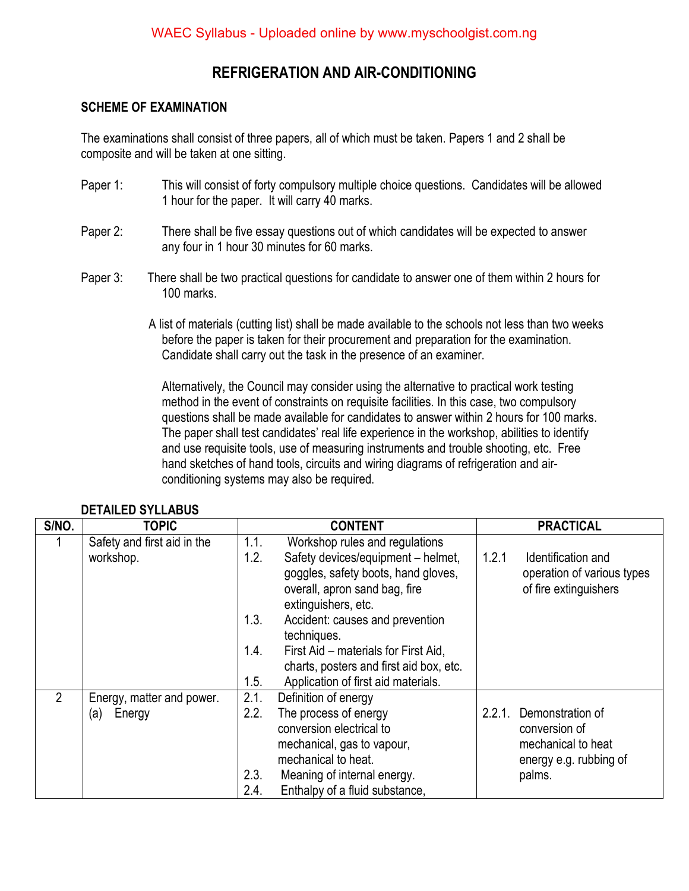#### **REFRIGERATION AND AIR-CONDITIONING**

#### **SCHEME OF EXAMINATION**

The examinations shall consist of three papers, all of which must be taken. Papers 1 and 2 shall be composite and will be taken at one sitting.

- Paper 1: This will consist of forty compulsory multiple choice questions. Candidates will be allowed 1 hour for the paper. It will carry 40 marks.
- Paper 2: There shall be five essay questions out of which candidates will be expected to answer any four in 1 hour 30 minutes for 60 marks.
- Paper 3: There shall be two practical questions for candidate to answer one of them within 2 hours for 100 marks.
	- A list of materials (cutting list) shall be made available to the schools not less than two weeks before the paper is taken for their procurement and preparation for the examination. Candidate shall carry out the task in the presence of an examiner.

Alternatively, the Council may consider using the alternative to practical work testing method in the event of constraints on requisite facilities. In this case, two compulsory questions shall be made available for candidates to answer within 2 hours for 100 marks. The paper shall test candidates' real life experience in the workshop, abilities to identify and use requisite tools, use of measuring instruments and trouble shooting, etc. Free hand sketches of hand tools, circuits and wiring diagrams of refrigeration and airconditioning systems may also be required.

| S/NO.          | <b>TOPIC</b>                |              | <b>CONTENT</b>                                                                                                                    | <b>PRACTICAL</b> |                                                                           |
|----------------|-----------------------------|--------------|-----------------------------------------------------------------------------------------------------------------------------------|------------------|---------------------------------------------------------------------------|
|                | Safety and first aid in the | 1.1.         | Workshop rules and regulations                                                                                                    |                  |                                                                           |
|                | workshop.                   | 1.2.         | Safety devices/equipment - helmet,<br>goggles, safety boots, hand gloves,<br>overall, apron sand bag, fire<br>extinguishers, etc. | 1.2.1            | Identification and<br>operation of various types<br>of fire extinguishers |
|                |                             | 1.3.         | Accident: causes and prevention<br>techniques.                                                                                    |                  |                                                                           |
|                |                             | 1.4.         | First Aid – materials for First Aid,<br>charts, posters and first aid box, etc.                                                   |                  |                                                                           |
|                |                             | 1.5.         | Application of first aid materials.                                                                                               |                  |                                                                           |
| $\overline{2}$ | Energy, matter and power.   | 2.1.         | Definition of energy                                                                                                              |                  |                                                                           |
|                | Energy<br>(a)               | 2.2.         | The process of energy<br>conversion electrical to<br>mechanical, gas to vapour,                                                   | 2.2.1.           | Demonstration of<br>conversion of<br>mechanical to heat                   |
|                |                             |              | mechanical to heat.                                                                                                               |                  |                                                                           |
|                |                             |              |                                                                                                                                   |                  | energy e.g. rubbing of                                                    |
|                |                             | 2.3.<br>2.4. | Meaning of internal energy.                                                                                                       |                  | palms.                                                                    |
|                |                             |              | Enthalpy of a fluid substance,                                                                                                    |                  |                                                                           |

#### **DETAILED SYLLABUS**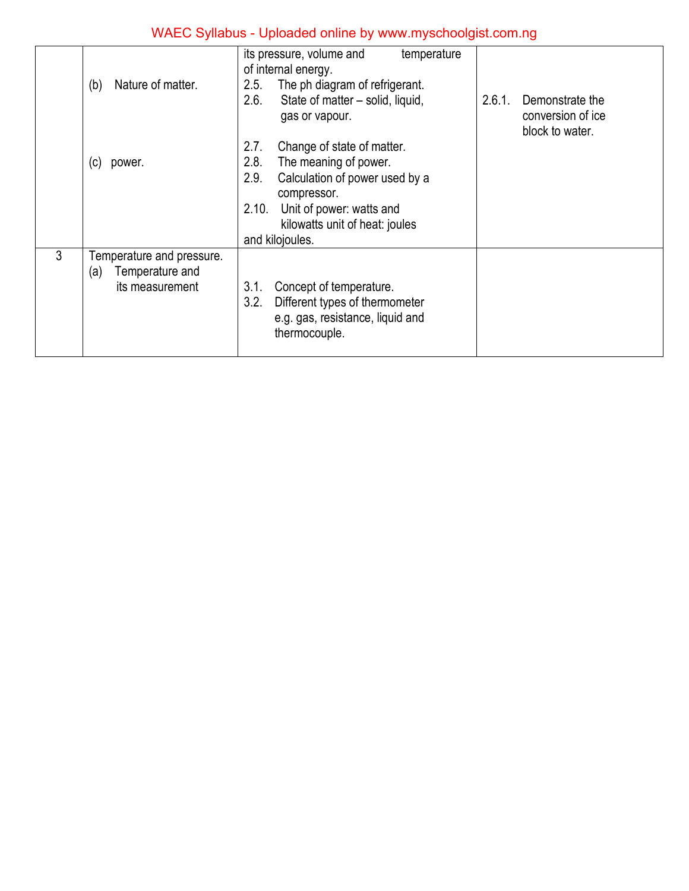|                | Nature of matter.<br>(b)  | its pressure, volume and<br>temperature<br>of internal energy.<br>The ph diagram of refrigerant.<br>2.5. |                                                                   |
|----------------|---------------------------|----------------------------------------------------------------------------------------------------------|-------------------------------------------------------------------|
|                |                           | 2.6.<br>State of matter - solid, liquid,<br>gas or vapour.                                               | 2.6.1.<br>Demonstrate the<br>conversion of ice<br>block to water. |
|                |                           | Change of state of matter.<br>2.7.                                                                       |                                                                   |
|                | (c)<br>power.             | 2.8.<br>The meaning of power.                                                                            |                                                                   |
|                |                           | 2.9.<br>Calculation of power used by a<br>compressor.                                                    |                                                                   |
|                |                           | Unit of power: watts and<br>2.10.                                                                        |                                                                   |
|                |                           | kilowatts unit of heat: joules                                                                           |                                                                   |
|                |                           | and kilojoules.                                                                                          |                                                                   |
| $\mathfrak{Z}$ | Temperature and pressure. |                                                                                                          |                                                                   |
|                | Temperature and<br>(a)    |                                                                                                          |                                                                   |
|                | its measurement           | 3.1.<br>Concept of temperature.                                                                          |                                                                   |
|                |                           | 3.2.<br>Different types of thermometer<br>e.g. gas, resistance, liquid and<br>thermocouple.              |                                                                   |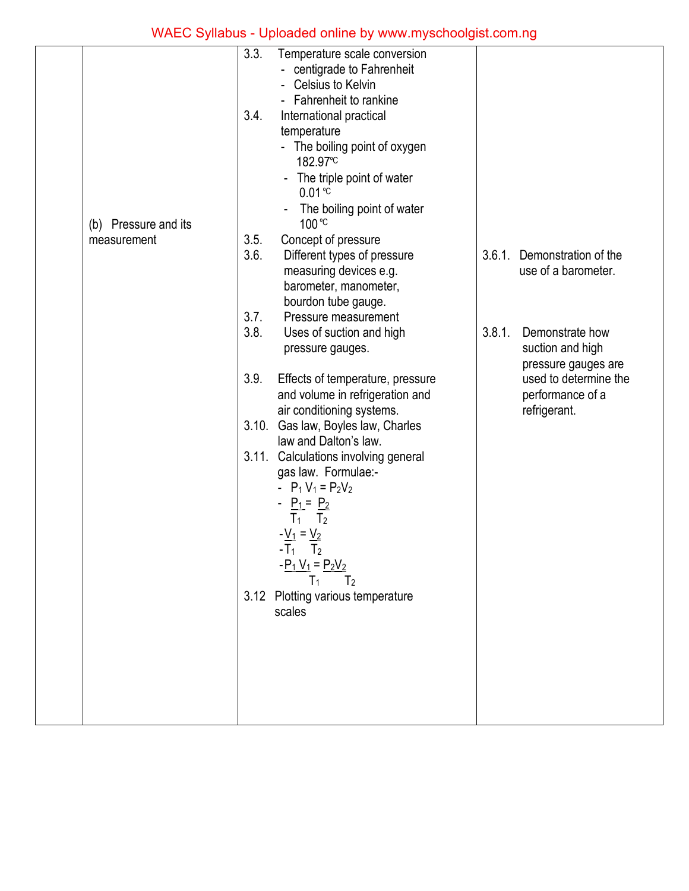|                      | 3.3.         | Temperature scale conversion<br>- centigrade to Fahrenheit<br>Celsius to Kelvin<br>- Fahrenheit to rankine                                                                                                                           |        |                                                            |
|----------------------|--------------|--------------------------------------------------------------------------------------------------------------------------------------------------------------------------------------------------------------------------------------|--------|------------------------------------------------------------|
| (b) Pressure and its | 3.4.         | International practical<br>temperature<br>- The boiling point of oxygen<br>182.97°C<br>The triple point of water<br>$\qquad \qquad \blacksquare$<br>$0.01 \text{°C}$<br>The boiling point of water<br>100 °C                         |        |                                                            |
| measurement          | 3.5.<br>3.6. | Concept of pressure<br>Different types of pressure<br>measuring devices e.g.<br>barometer, manometer,<br>bourdon tube gauge.                                                                                                         | 3.6.1. | Demonstration of the<br>use of a barometer.                |
|                      | 3.7.<br>3.8. | Pressure measurement<br>Uses of suction and high<br>pressure gauges.                                                                                                                                                                 | 3.8.1. | Demonstrate how<br>suction and high<br>pressure gauges are |
|                      | 3.9.         | Effects of temperature, pressure<br>and volume in refrigeration and<br>air conditioning systems.                                                                                                                                     |        | used to determine the<br>performance of a<br>refrigerant.  |
|                      | 3.10.        | Gas law, Boyles law, Charles<br>law and Dalton's law.<br>3.11. Calculations involving general                                                                                                                                        |        |                                                            |
|                      |              | gas law. Formulae:-<br>- $P_1 V_1 = P_2 V_2$<br>- <u>P<sub>1</sub></u> = <u>P</u> <sub>2</sub><br>$T_1$<br>T <sub>2</sub><br>$-\underline{V_1} = \underline{V_2}$<br>$-T_1$ $T_2$<br>$-P_1 V_1 = P_2 V_2$<br>T <sub>2</sub><br>$T_1$ |        |                                                            |
|                      |              | 3.12 Plotting various temperature<br>scales                                                                                                                                                                                          |        |                                                            |
|                      |              |                                                                                                                                                                                                                                      |        |                                                            |
|                      |              |                                                                                                                                                                                                                                      |        |                                                            |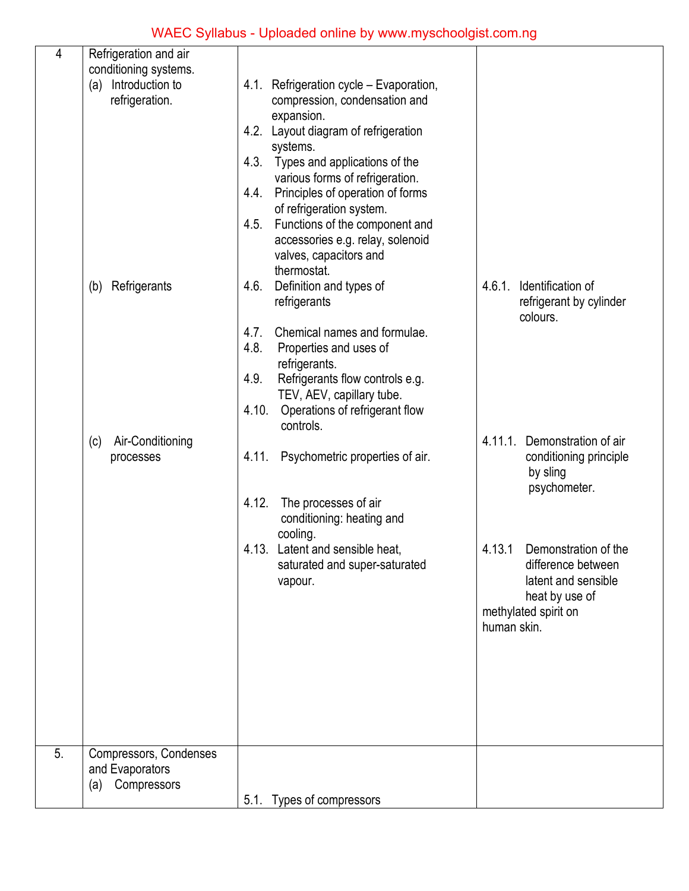| 4  | Refrigeration and air                     |                                                 |                                 |
|----|-------------------------------------------|-------------------------------------------------|---------------------------------|
|    | conditioning systems.                     |                                                 |                                 |
|    | (a) Introduction to                       | 4.1. Refrigeration cycle - Evaporation,         |                                 |
|    | refrigeration.                            | compression, condensation and                   |                                 |
|    |                                           | expansion.                                      |                                 |
|    |                                           | 4.2. Layout diagram of refrigeration            |                                 |
|    |                                           | systems.                                        |                                 |
|    |                                           | Types and applications of the<br>4.3.           |                                 |
|    |                                           | various forms of refrigeration.                 |                                 |
|    |                                           | Principles of operation of forms<br>4.4.        |                                 |
|    |                                           | of refrigeration system.                        |                                 |
|    |                                           | 4.5.<br>Functions of the component and          |                                 |
|    |                                           | accessories e.g. relay, solenoid                |                                 |
|    |                                           | valves, capacitors and                          |                                 |
|    |                                           | thermostat.                                     |                                 |
|    | Refrigerants<br>(b)                       | Definition and types of<br>4.6.                 | 4.6.1. Identification of        |
|    |                                           | refrigerants                                    | refrigerant by cylinder         |
|    |                                           |                                                 | colours.                        |
|    |                                           | Chemical names and formulae.<br>4.7.            |                                 |
|    |                                           | 4.8.<br>Properties and uses of<br>refrigerants. |                                 |
|    |                                           | 4.9.<br>Refrigerants flow controls e.g.         |                                 |
|    |                                           | TEV, AEV, capillary tube.                       |                                 |
|    |                                           | Operations of refrigerant flow<br>4.10.         |                                 |
|    |                                           | controls.                                       |                                 |
|    | Air-Conditioning<br>(c)                   |                                                 | Demonstration of air<br>4.11.1. |
|    | processes                                 | 4.11.<br>Psychometric properties of air.        | conditioning principle          |
|    |                                           |                                                 | by sling                        |
|    |                                           |                                                 | psychometer.                    |
|    |                                           | 4.12.<br>The processes of air                   |                                 |
|    |                                           | conditioning: heating and                       |                                 |
|    |                                           | cooling.                                        |                                 |
|    |                                           | 4.13. Latent and sensible heat,                 | 4.13.1 Demonstration of the     |
|    |                                           | saturated and super-saturated                   | difference between              |
|    |                                           | vapour.                                         | latent and sensible             |
|    |                                           |                                                 | heat by use of                  |
|    |                                           |                                                 | methylated spirit on            |
|    |                                           |                                                 | human skin.                     |
|    |                                           |                                                 |                                 |
|    |                                           |                                                 |                                 |
|    |                                           |                                                 |                                 |
|    |                                           |                                                 |                                 |
|    |                                           |                                                 |                                 |
|    |                                           |                                                 |                                 |
| 5. |                                           |                                                 |                                 |
|    | Compressors, Condenses<br>and Evaporators |                                                 |                                 |
|    | Compressors<br>(a)                        |                                                 |                                 |
|    |                                           | 5.1. Types of compressors                       |                                 |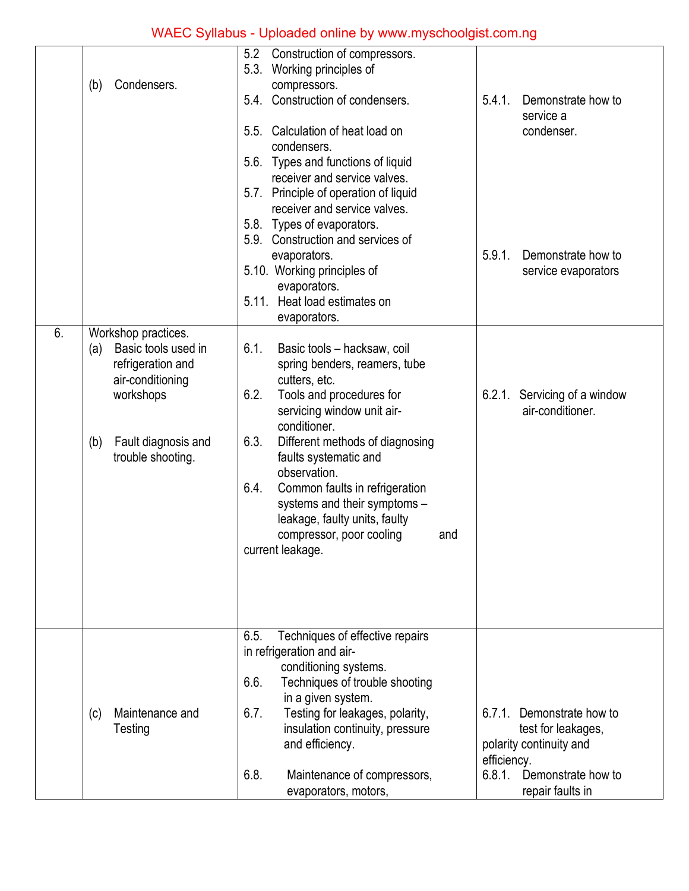|    | Condensers.<br>(b)                                                                                                                                         | 5.2<br>Construction of compressors.<br>5.3. Working principles of<br>compressors.<br>5.4. Construction of condensers.<br>5.5. Calculation of heat load on<br>condensers.                                                                                                                                                                                                                                                      | 5.4.1.<br>Demonstrate how to<br>service a<br>condenser.                                                                                             |
|----|------------------------------------------------------------------------------------------------------------------------------------------------------------|-------------------------------------------------------------------------------------------------------------------------------------------------------------------------------------------------------------------------------------------------------------------------------------------------------------------------------------------------------------------------------------------------------------------------------|-----------------------------------------------------------------------------------------------------------------------------------------------------|
|    |                                                                                                                                                            | 5.6. Types and functions of liquid<br>receiver and service valves.<br>5.7. Principle of operation of liquid<br>receiver and service valves.<br>5.8. Types of evaporators.<br>5.9. Construction and services of<br>evaporators.<br>5.10. Working principles of<br>evaporators.<br>5.11. Heat load estimates on<br>evaporators.                                                                                                 | 5.9.1.<br>Demonstrate how to<br>service evaporators                                                                                                 |
| 6. | Workshop practices.<br>Basic tools used in<br>(a)<br>refrigeration and<br>air-conditioning<br>workshops<br>Fault diagnosis and<br>(b)<br>trouble shooting. | 6.1.<br>Basic tools - hacksaw, coil<br>spring benders, reamers, tube<br>cutters, etc.<br>6.2.<br>Tools and procedures for<br>servicing window unit air-<br>conditioner.<br>6.3.<br>Different methods of diagnosing<br>faults systematic and<br>observation.<br>Common faults in refrigeration<br>6.4.<br>systems and their symptoms -<br>leakage, faulty units, faulty<br>compressor, poor cooling<br>and<br>current leakage. | Servicing of a window<br>6.2.1.<br>air-conditioner.                                                                                                 |
|    | Maintenance and<br>(c)<br>Testing                                                                                                                          | Techniques of effective repairs<br>6.5.<br>in refrigeration and air-<br>conditioning systems.<br>6.6.<br>Techniques of trouble shooting<br>in a given system.<br>Testing for leakages, polarity,<br>6.7.<br>insulation continuity, pressure<br>and efficiency.<br>6.8.<br>Maintenance of compressors,<br>evaporators, motors,                                                                                                 | $6.7.1$ .<br>Demonstrate how to<br>test for leakages,<br>polarity continuity and<br>efficiency.<br>6.8.1.<br>Demonstrate how to<br>repair faults in |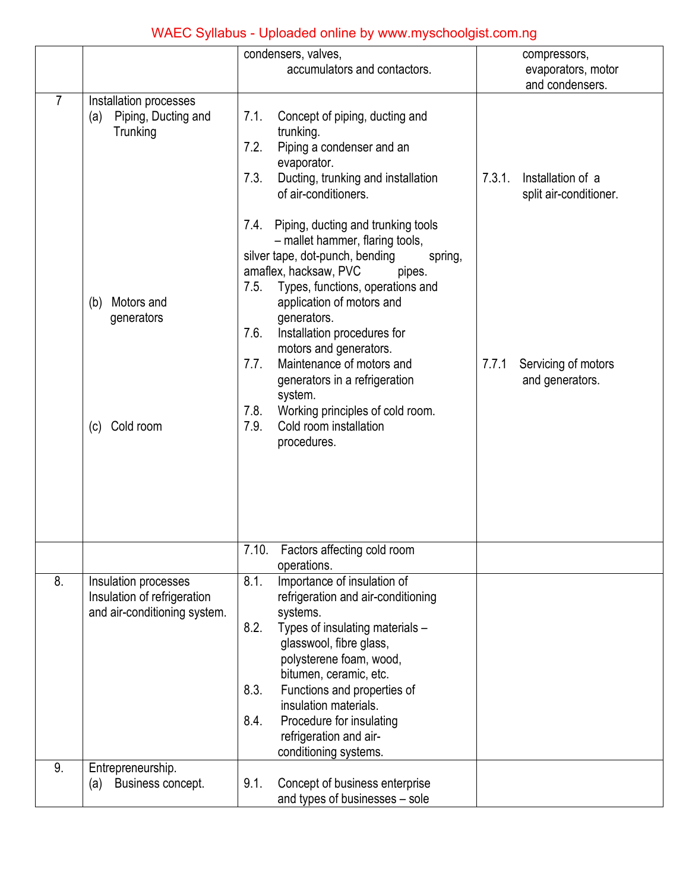|                |                                                                                     | condensers, valves,                                                                                                                                                                                                                                                                                                                                                                                                                                                                                   | compressors,                                          |
|----------------|-------------------------------------------------------------------------------------|-------------------------------------------------------------------------------------------------------------------------------------------------------------------------------------------------------------------------------------------------------------------------------------------------------------------------------------------------------------------------------------------------------------------------------------------------------------------------------------------------------|-------------------------------------------------------|
|                |                                                                                     | accumulators and contactors.                                                                                                                                                                                                                                                                                                                                                                                                                                                                          | evaporators, motor                                    |
|                |                                                                                     |                                                                                                                                                                                                                                                                                                                                                                                                                                                                                                       | and condensers.                                       |
| $\overline{7}$ | Installation processes<br>Piping, Ducting and<br>(a)<br>Trunking                    | Concept of piping, ducting and<br>7.1.<br>trunking.<br>7.2.<br>Piping a condenser and an<br>evaporator.<br>Ducting, trunking and installation<br>7.3.<br>of air-conditioners.                                                                                                                                                                                                                                                                                                                         | 7.3.1.<br>Installation of a<br>split air-conditioner. |
|                | Motors and<br>(b)<br>generators<br>Cold room<br>(c)                                 | Piping, ducting and trunking tools<br>7.4.<br>- mallet hammer, flaring tools,<br>silver tape, dot-punch, bending<br>spring,<br>amaflex, hacksaw, PVC<br>pipes.<br>7.5.<br>Types, functions, operations and<br>application of motors and<br>generators.<br>7.6.<br>Installation procedures for<br>motors and generators.<br>Maintenance of motors and<br>7.7.<br>generators in a refrigeration<br>system.<br>7.8.<br>Working principles of cold room.<br>Cold room installation<br>7.9.<br>procedures. | 7.7.1<br>Servicing of motors<br>and generators.       |
|                |                                                                                     | 7.10. Factors affecting cold room<br>operations.                                                                                                                                                                                                                                                                                                                                                                                                                                                      |                                                       |
| 8.             | Insulation processes<br>Insulation of refrigeration<br>and air-conditioning system. | 8.1.<br>Importance of insulation of<br>refrigeration and air-conditioning<br>systems.<br>8.2.<br>Types of insulating materials -<br>glasswool, fibre glass,<br>polysterene foam, wood,<br>bitumen, ceramic, etc.<br>8.3.<br>Functions and properties of<br>insulation materials.<br>8.4.<br>Procedure for insulating<br>refrigeration and air-<br>conditioning systems.                                                                                                                               |                                                       |
| 9.             | Entrepreneurship.<br>Business concept.<br>(a)                                       | 9.1.<br>Concept of business enterprise<br>and types of businesses - sole                                                                                                                                                                                                                                                                                                                                                                                                                              |                                                       |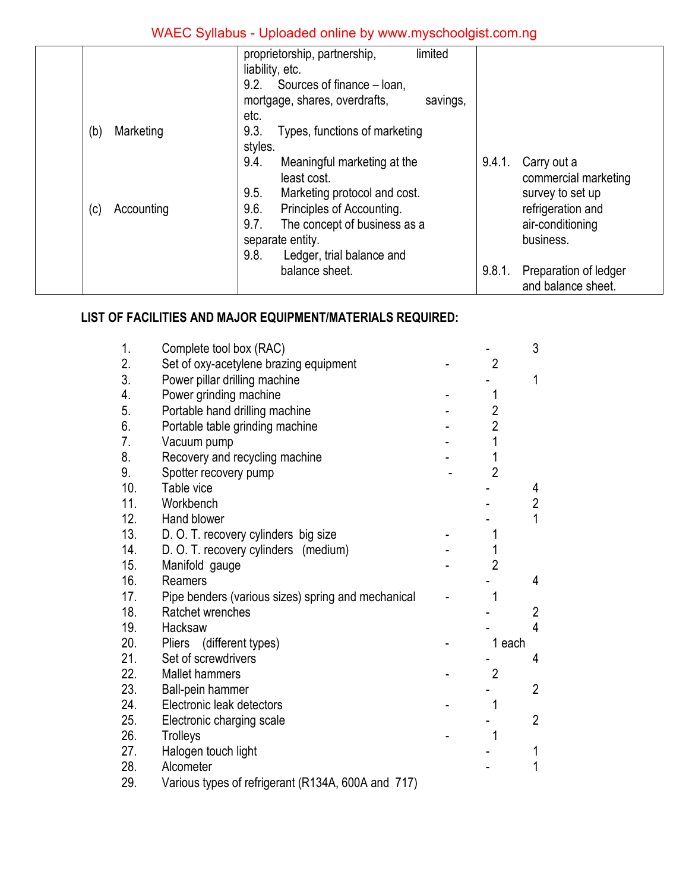|                   | proprietorship, partnership,<br>limited<br>liability, etc. |        |                       |
|-------------------|------------------------------------------------------------|--------|-----------------------|
|                   | 9.2.<br>Sources of finance - loan,                         |        |                       |
|                   | mortgage, shares, overdrafts,<br>savings,                  |        |                       |
|                   | etc.                                                       |        |                       |
| Marketing<br>(b)  | 9.3.<br>Types, functions of marketing                      |        |                       |
|                   | styles.                                                    |        |                       |
|                   | 9.4.<br>Meaningful marketing at the                        | 9.4.1. | Carry out a           |
|                   | least cost.                                                |        | commercial marketing  |
|                   | 9.5.<br>Marketing protocol and cost.                       |        | survey to set up      |
| Accounting<br>(c) | 9.6.<br>Principles of Accounting.                          |        | refrigeration and     |
|                   | 9.7.<br>The concept of business as a                       |        | air-conditioning      |
|                   | separate entity.                                           |        | business.             |
|                   | 9.8.<br>Ledger, trial balance and                          |        |                       |
|                   | balance sheet.                                             | 9.8.1. | Preparation of ledger |
|                   |                                                            |        | and balance sheet.    |
|                   |                                                            |        |                       |

#### **LIST OF FACILITIES AND MAJOR EQUIPMENT/MATERIALS REQUIRED:**

| 1.  | Complete tool box (RAC)                            |                | 3              |
|-----|----------------------------------------------------|----------------|----------------|
| 2.  | Set of oxy-acetylene brazing equipment             | $\overline{2}$ |                |
| 3.  | Power pillar drilling machine                      |                | $\mathbf{1}$   |
| 4.  | Power grinding machine                             |                |                |
| 5.  | Portable hand drilling machine                     | $\overline{2}$ |                |
| 6.  | Portable table grinding machine                    | $\overline{2}$ |                |
| 7.  | Vacuum pump                                        | 1              |                |
| 8.  | Recovery and recycling machine                     | 1              |                |
| 9.  | Spotter recovery pump                              | $\overline{2}$ |                |
| 10. | Table vice                                         |                | 4              |
| 11. | Workbench                                          |                | $\overline{2}$ |
| 12. | Hand blower                                        |                | $\overline{1}$ |
| 13. | D. O. T. recovery cylinders big size               | 1              |                |
| 14. | D. O. T. recovery cylinders (medium)               | 1              |                |
| 15. | Manifold gauge                                     | $\overline{2}$ |                |
| 16. | Reamers                                            |                | 4              |
| 17. | Pipe benders (various sizes) spring and mechanical |                |                |
| 18. | Ratchet wrenches                                   |                | $\overline{2}$ |
| 19. | Hacksaw                                            |                | 4              |
| 20. | Pliers (different types)                           | 1 each         |                |
| 21. | Set of screwdrivers                                |                | 4              |
| 22. | <b>Mallet hammers</b>                              | $\overline{2}$ |                |
| 23. | Ball-pein hammer                                   |                | $\overline{2}$ |
| 24. | Electronic leak detectors                          | 1              |                |
| 25. | Electronic charging scale                          |                | $\overline{2}$ |
| 26. | Trolleys                                           | 1              |                |
| 27. | Halogen touch light                                |                | 1              |
| 28. | Alcometer                                          |                | 1              |
| 29. | Various types of refrigerant (R134A, 600A and 717) |                |                |